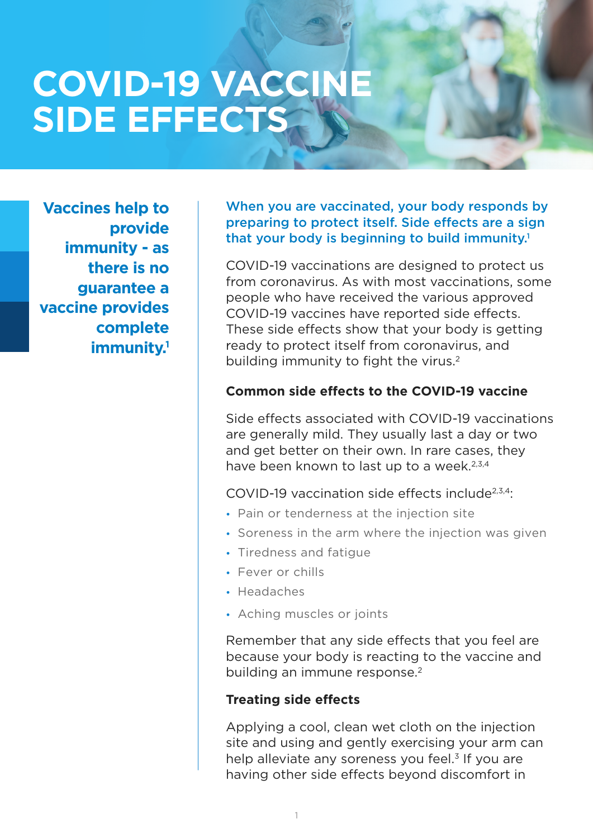# **COVID-19 VACCINE SIDE EFFECTS**

**Vaccines help to provide immunity - as there is no guarantee a vaccine provides complete immunity.1** When you are vaccinated, your body responds by preparing to protect itself. Side effects are a sign that your body is beginning to build immunity.<sup>1</sup>

COVID-19 vaccinations are designed to protect us from coronavirus. As with most vaccinations, some people who have received the various approved COVID-19 vaccines have reported side effects. These side effects show that your body is getting ready to protect itself from coronavirus, and building immunity to fight the virus.<sup>2</sup>

#### **Common side effects to the COVID-19 vaccine**

Side effects associated with COVID-19 vaccinations are generally mild. They usually last a day or two and get better on their own. In rare cases, they have been known to last up to a week. $2,3,4$ 

COVID-19 vaccination side effects include $2,3,4$ :

- **•** Pain or tenderness at the injection site
- **•** Soreness in the arm where the injection was given
- **•** Tiredness and fatigue
- **•** Fever or chills
- **•** Headaches
- **•** Aching muscles or joints

Remember that any side effects that you feel are because your body is reacting to the vaccine and building an immune response.<sup>2</sup>

#### **Treating side effects**

Applying a cool, clean wet cloth on the injection site and using and gently exercising your arm can help alleviate any soreness you feel. $3$  If you are having other side effects beyond discomfort in